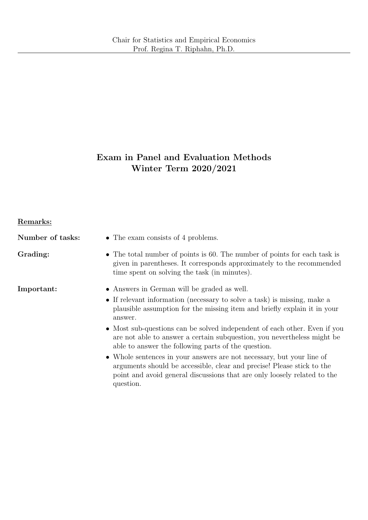# Exam in Panel and Evaluation Methods Winter Term 2020/2021

## Remarks:

| Number of tasks: | • The exam consists of 4 problems.                                                                                                                                                                                                       |  |  |  |  |
|------------------|------------------------------------------------------------------------------------------------------------------------------------------------------------------------------------------------------------------------------------------|--|--|--|--|
| Grading:         | • The total number of points is 60. The number of points for each task is<br>given in parentheses. It corresponds approximately to the recommended<br>time spent on solving the task (in minutes).                                       |  |  |  |  |
| Important:       | • Answers in German will be graded as well.                                                                                                                                                                                              |  |  |  |  |
|                  | • If relevant information (necessary to solve a task) is missing, make a<br>plausible assumption for the missing item and briefly explain it in your<br>answer.                                                                          |  |  |  |  |
|                  | • Most sub-questions can be solved independent of each other. Even if you<br>are not able to answer a certain subquestion, you nevertheless might be<br>able to answer the following parts of the question.                              |  |  |  |  |
|                  | • Whole sentences in your answers are not necessary, but your line of<br>arguments should be accessible, clear and precise! Please stick to the<br>point and avoid general discussions that are only loosely related to the<br>question. |  |  |  |  |
|                  |                                                                                                                                                                                                                                          |  |  |  |  |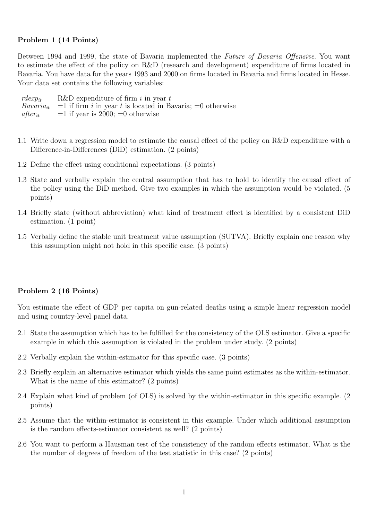## Problem 1 (14 Points)

Between 1994 and 1999, the state of Bavaria implemented the Future of Bavaria Offensive. You want to estimate the effect of the policy on R&D (research and development) expenditure of firms located in Bavaria. You have data for the years 1993 and 2000 on firms located in Bavaria and firms located in Hesse. Your data set contains the following variables:

| $rdeg p_{it}$ | R&D expenditure of firm i in year $t$                                                                  |
|---------------|--------------------------------------------------------------------------------------------------------|
|               | <i>Bavaria<sub>it</sub></i> = 1 if firm <i>i</i> in year <i>t</i> is located in Bavaria; = 0 otherwise |
| $after_{it}$  | $=1$ if year is 2000; $=0$ otherwise                                                                   |

- 1.1 Write down a regression model to estimate the causal effect of the policy on R&D expenditure with a Difference-in-Differences (DiD) estimation. (2 points)
- 1.2 Define the effect using conditional expectations. (3 points)
- 1.3 State and verbally explain the central assumption that has to hold to identify the causal effect of the policy using the DiD method. Give two examples in which the assumption would be violated. (5 points)
- 1.4 Briefly state (without abbreviation) what kind of treatment effect is identified by a consistent DiD estimation. (1 point)
- 1.5 Verbally define the stable unit treatment value assumption (SUTVA). Briefly explain one reason why this assumption might not hold in this specific case. (3 points)

#### Problem 2 (16 Points)

You estimate the effect of GDP per capita on gun-related deaths using a simple linear regression model and using country-level panel data.

- 2.1 State the assumption which has to be fulfilled for the consistency of the OLS estimator. Give a specific example in which this assumption is violated in the problem under study. (2 points)
- 2.2 Verbally explain the within-estimator for this specific case. (3 points)
- 2.3 Briefly explain an alternative estimator which yields the same point estimates as the within-estimator. What is the name of this estimator? (2 points)
- 2.4 Explain what kind of problem (of OLS) is solved by the within-estimator in this specific example. (2 points)
- 2.5 Assume that the within-estimator is consistent in this example. Under which additional assumption is the random effects-estimator consistent as well? (2 points)
- 2.6 You want to perform a Hausman test of the consistency of the random effects estimator. What is the the number of degrees of freedom of the test statistic in this case? (2 points)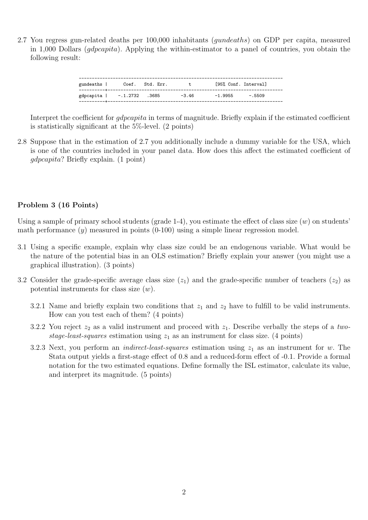2.7 You regress gun-related deaths per 100,000 inhabitants (gundeaths) on GDP per capita, measured in 1,000 Dollars (*gdpcapita*). Applying the within-estimator to a panel of countries, you obtain the following result:

| gundeaths                  | Coef. Std. Err. | t.      | [95% Conf. Interval] |  |
|----------------------------|-----------------|---------|----------------------|--|
| gdpcapita   -.1.2732 .3685 |                 | $-3.46$ | $-1.9955 - .5509$    |  |

Interpret the coefficient for *gdpcapita* in terms of magnitude. Briefly explain if the estimated coefficient is statistically significant at the 5%-level. (2 points)

2.8 Suppose that in the estimation of 2.7 you additionally include a dummy variable for the USA, which is one of the countries included in your panel data. How does this affect the estimated coefficient of gdpcapita? Briefly explain. (1 point)

## Problem 3 (16 Points)

Using a sample of primary school students (grade 1-4), you estimate the effect of class size  $(w)$  on students' math performance  $(y)$  measured in points  $(0-100)$  using a simple linear regression model.

- 3.1 Using a specific example, explain why class size could be an endogenous variable. What would be the nature of the potential bias in an OLS estimation? Briefly explain your answer (you might use a graphical illustration). (3 points)
- 3.2 Consider the grade-specific average class size  $(z_1)$  and the grade-specific number of teachers  $(z_2)$  as potential instruments for class size  $(w)$ .
	- 3.2.1 Name and briefly explain two conditions that  $z_1$  and  $z_2$  have to fulfill to be valid instruments. How can you test each of them? (4 points)
	- 3.2.2 You reject  $z_2$  as a valid instrument and proceed with  $z_1$ . Describe verbally the steps of a twostage-least-squares estimation using  $z_1$  as an instrument for class size. (4 points)
	- 3.2.3 Next, you perform an *indirect-least-squares* estimation using  $z_1$  as an instrument for w. The Stata output yields a first-stage effect of 0.8 and a reduced-form effect of -0.1. Provide a formal notation for the two estimated equations. Define formally the ISL estimator, calculate its value, and interpret its magnitude. (5 points)